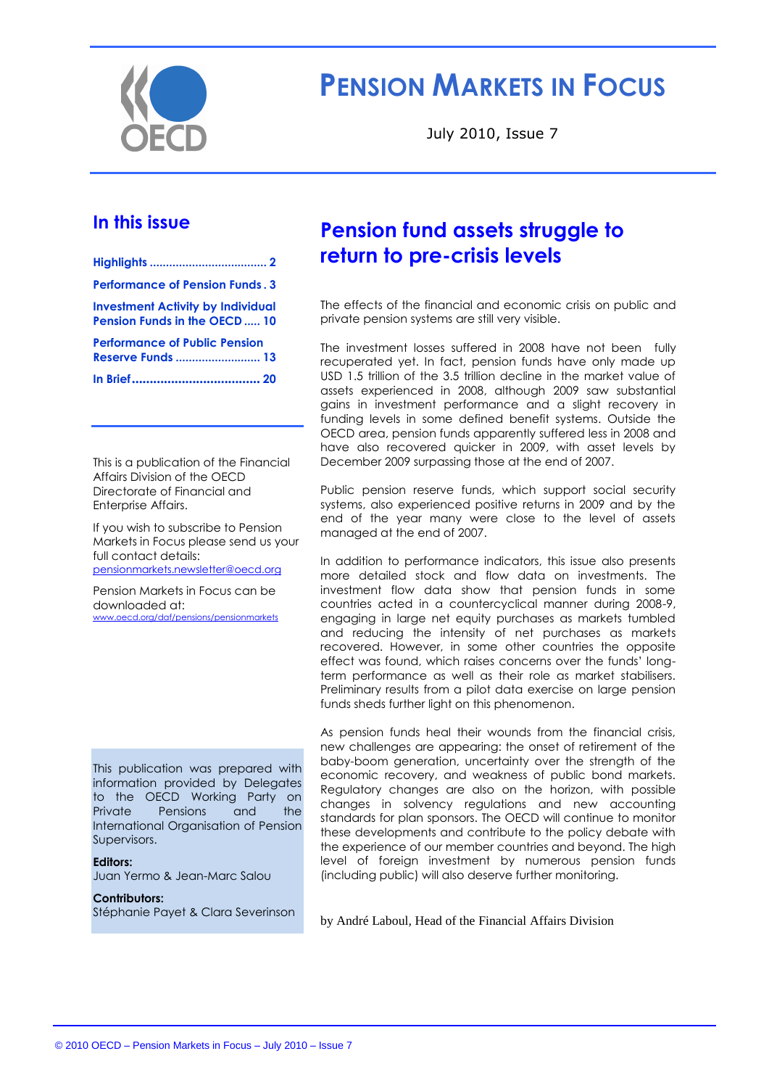

# **PENSION MARKETS IN FOCUS**

July 2010, Issue 7

### **In this issue**

| <b>Performance of Pension Funds. 3</b>                                          |  |
|---------------------------------------------------------------------------------|--|
| <b>Investment Activity by Individual</b><br><b>Pension Funds in the OECD 10</b> |  |
| <b>Performance of Public Pension</b><br><b>Reserve Funds  13</b>                |  |
|                                                                                 |  |
|                                                                                 |  |

This is a publication of the Financial Affairs Division of the OECD Directorate of Financial and Enterprise Affairs.

If you wish to subscribe to Pension Markets in Focus please send us your full contact details: [pensionmarkets.newsletter@oecd.org](mailto:pensionsmarkets.newsletter@oecd.org)

Pension Markets in Focus can be downloaded at: [www.oecd.org/daf/pensions/pensionmarkets](http://www.oecd.org/daf/pensions/pensionmarkets)

This publication was prepared with information provided by Delegates to the OECD Working Party on Private Pensions and the International Organisation of Pension Supervisors.

#### **Editors:**

Juan Yermo & Jean-Marc Salou

**Contributors:** Stéphanie Payet & Clara Severinson

## **Pension fund assets struggle to return to pre-crisis levels**

The effects of the financial and economic crisis on public and private pension systems are still very visible.

The investment losses suffered in 2008 have not been fully recuperated yet. In fact, pension funds have only made up USD 1.5 trillion of the 3.5 trillion decline in the market value of assets experienced in 2008, although 2009 saw substantial gains in investment performance and a slight recovery in funding levels in some defined benefit systems. Outside the OECD area, pension funds apparently suffered less in 2008 and have also recovered quicker in 2009, with asset levels by December 2009 surpassing those at the end of 2007.

Public pension reserve funds, which support social security systems, also experienced positive returns in 2009 and by the end of the year many were close to the level of assets managed at the end of 2007.

In addition to performance indicators, this issue also presents more detailed stock and flow data on investments. The investment flow data show that pension funds in some countries acted in a countercyclical manner during 2008-9, engaging in large net equity purchases as markets tumbled and reducing the intensity of net purchases as markets recovered. However, in some other countries the opposite effect was found, which raises concerns over the funds' longterm performance as well as their role as market stabilisers. Preliminary results from a pilot data exercise on large pension funds sheds further light on this phenomenon.

As pension funds heal their wounds from the financial crisis, new challenges are appearing: the onset of retirement of the baby-boom generation, uncertainty over the strength of the economic recovery, and weakness of public bond markets. Regulatory changes are also on the horizon, with possible changes in solvency regulations and new accounting standards for plan sponsors. The OECD will continue to monitor these developments and contribute to the policy debate with the experience of our member countries and beyond. The high level of foreign investment by numerous pension funds (including public) will also deserve further monitoring.

by André Laboul*,* Head of the Financial Affairs Division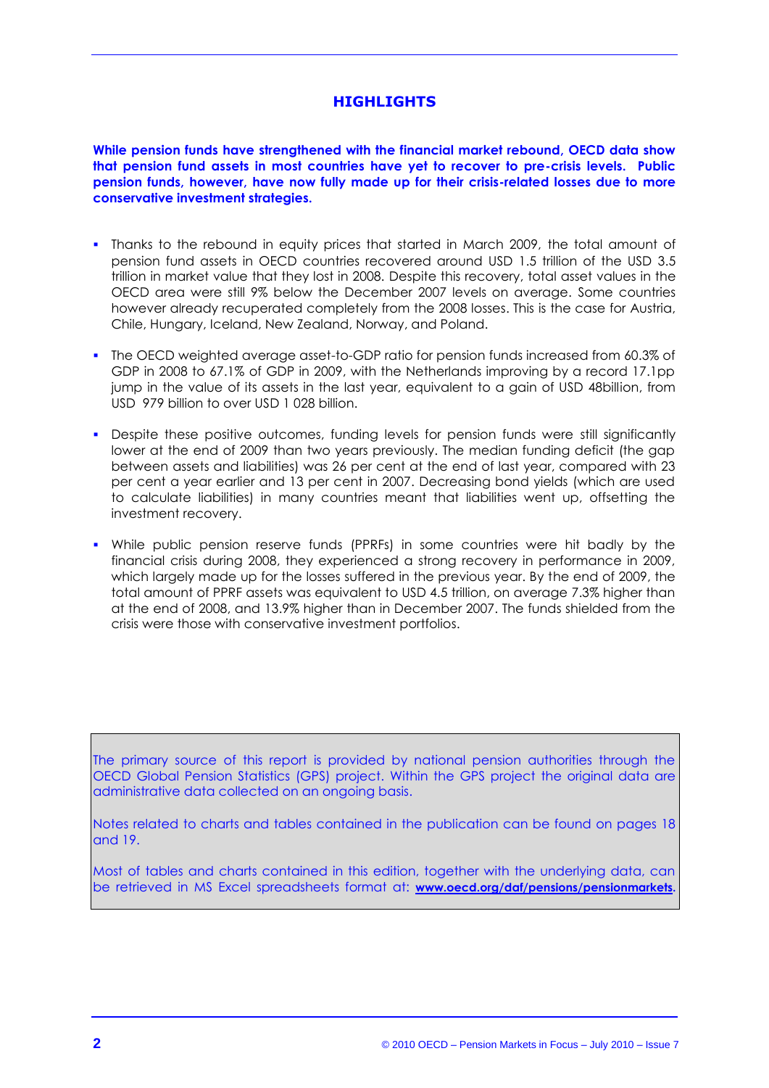### **HIGHLIGHTS**

**While pension funds have strengthened with the financial market rebound, OECD data show that pension fund assets in most countries have yet to recover to pre-crisis levels. Public pension funds, however, have now fully made up for their crisis-related losses due to more conservative investment strategies.** 

- Thanks to the rebound in equity prices that started in March 2009, the total amount of pension fund assets in OECD countries recovered around USD 1.5 trillion of the USD 3.5 trillion in market value that they lost in 2008. Despite this recovery, total asset values in the OECD area were still 9% below the December 2007 levels on average. Some countries however already recuperated completely from the 2008 losses. This is the case for Austria, Chile, Hungary, Iceland, New Zealand, Norway, and Poland.
- The OECD weighted average asset-to-GDP ratio for pension funds increased from 60.3% of GDP in 2008 to 67.1% of GDP in 2009, with the Netherlands improving by a record 17.1pp jump in the value of its assets in the last year, equivalent to a gain of USD 48billion, from USD 979 billion to over USD 1 028 billion.
- Despite these positive outcomes, funding levels for pension funds were still significantly lower at the end of 2009 than two years previously. The median funding deficit (the gap between assets and liabilities) was 26 per cent at the end of last year, compared with 23 per cent a year earlier and 13 per cent in 2007. Decreasing bond yields (which are used to calculate liabilities) in many countries meant that liabilities went up, offsetting the investment recovery.
- While public pension reserve funds (PPRFs) in some countries were hit badly by the financial crisis during 2008, they experienced a strong recovery in performance in 2009, which largely made up for the losses suffered in the previous year. By the end of 2009, the total amount of PPRF assets was equivalent to USD 4.5 trillion, on average 7.3% higher than at the end of 2008, and 13.9% higher than in December 2007. The funds shielded from the crisis were those with conservative investment portfolios.

The primary source of this report is provided by national pension authorities through the OECD Global Pension Statistics (GPS) project. Within the GPS project the original data are administrative data collected on an ongoing basis.

Notes related to charts and tables contained in the publication can be found on pages 18 and 19.

Most of tables and charts contained in this edition, together with the underlying data, can be retrieved in MS Excel spreadsheets format at: **[www.oecd.org/daf/pensions/pensionmarkets.](http://www.oecd.org/daf/pensions/pensionmarkets)**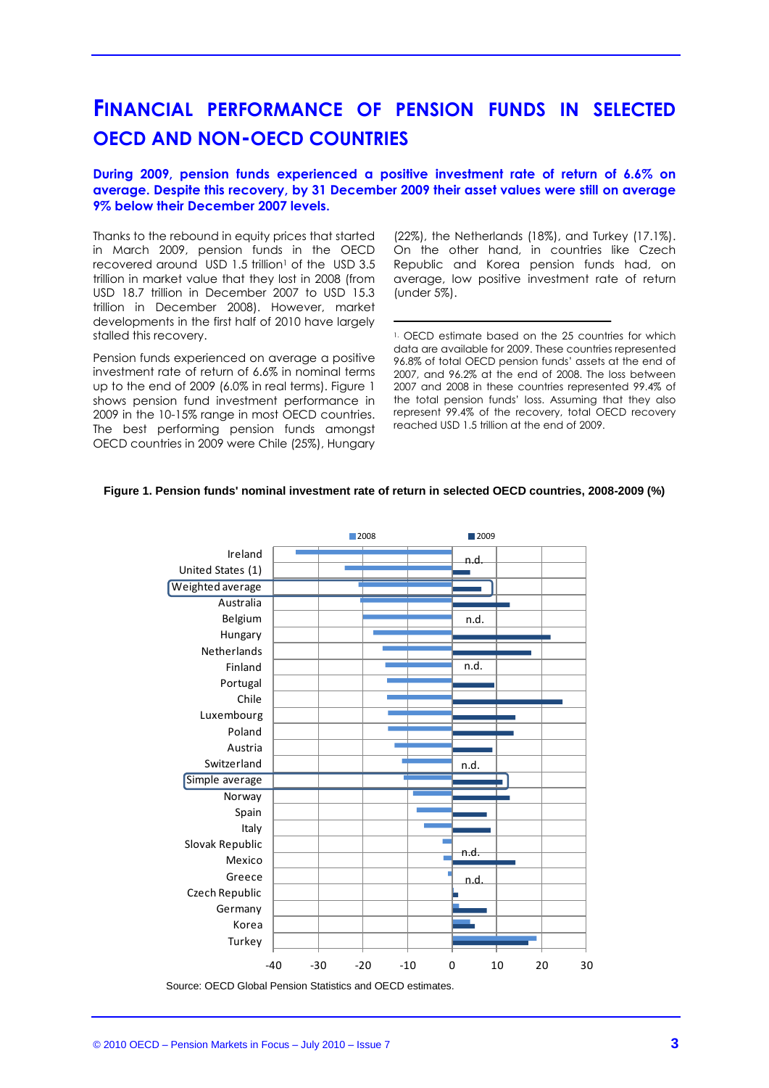## **FINANCIAL PERFORMANCE OF PENSION FUNDS IN SELECTED OECD AND NON-OECD COUNTRIES**

#### **During 2009, pension funds experienced a positive investment rate of return of 6.6% on average. Despite this recovery, by 31 December 2009 their asset values were still on average 9% below their December 2007 levels.**

Thanks to the rebound in equity prices that started in March 2009, pension funds in the OECD recovered around USD 1.5 trillion<sup>1</sup> of the USD 3.5 trillion in market value that they lost in 2008 (from USD 18.7 trillion in December 2007 to USD 15.3 trillion in December 2008). However, market developments in the first half of 2010 have largely stalled this recovery.

Pension funds experienced on average a positive investment rate of return of 6.6% in nominal terms up to the end of 2009 (6.0% in real terms). Figure 1 shows pension fund investment performance in 2009 in the 10-15% range in most OECD countries. The best performing pension funds amongst OECD countries in 2009 were Chile (25%), Hungary

(22%), the Netherlands (18%), and Turkey (17.1%). On the other hand, in countries like Czech Republic and Korea pension funds had, on average, low positive investment rate of return (under 5%).

<sup>1.</sup> OECD estimate based on the 25 countries for which data are available for 2009. These countries represented 96.8% of total OECD pension funds' assets at the end of 2007, and 96.2% at the end of 2008. The loss between 2007 and 2008 in these countries represented 99.4% of the total pension funds' loss. Assuming that they also represent 99.4% of the recovery, total OECD recovery reached USD 1.5 trillion at the end of 2009.

#### **Figure 1. Pension funds' nominal investment rate of return in selected OECD countries, 2008-2009 (%)**



Source: OECD Global Pension Statistics and OECD estimates.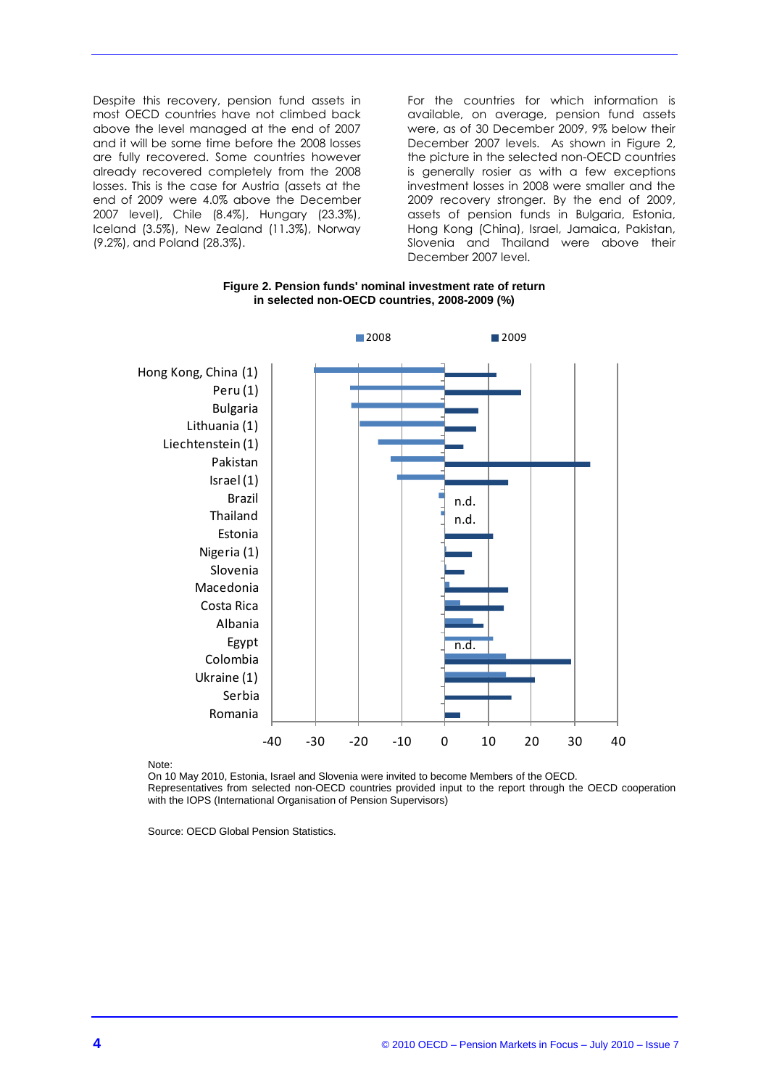Despite this recovery, pension fund assets in most OECD countries have not climbed back above the level managed at the end of 2007 and it will be some time before the 2008 losses are fully recovered. Some countries however already recovered completely from the 2008 losses. This is the case for Austria (assets at the end of 2009 were 4.0% above the December 2007 level), Chile (8.4%), Hungary (23.3%), Iceland (3.5%), New Zealand (11.3%), Norway (9.2%), and Poland (28.3%).

For the countries for which information is available, on average, pension fund assets were, as of 30 December 2009, 9% below their December 2007 levels. As shown in Figure 2, the picture in the selected non-OECD countries is generally rosier as with a few exceptions investment losses in 2008 were smaller and the 2009 recovery stronger. By the end of 2009, assets of pension funds in Bulgaria, Estonia, Hong Kong (China), Israel, Jamaica, Pakistan, Slovenia and Thailand were above their December 2007 level.





Note:

On 10 May 2010, Estonia, Israel and Slovenia were invited to become Members of the OECD. Representatives from selected non-OECD countries provided input to the report through the OECD cooperation with the IOPS (International Organisation of Pension Supervisors)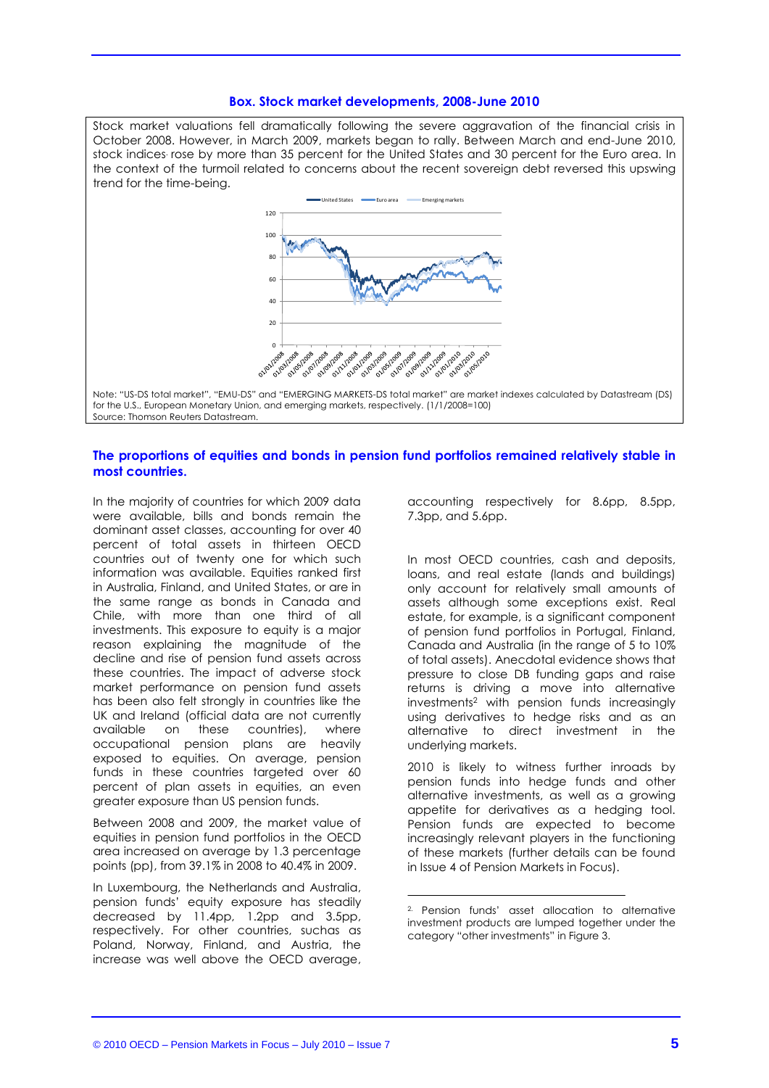#### **Box. Stock market developments, 2008-June 2010**

Stock market valuations fell dramatically following the severe aggravation of the financial crisis in October 2008. However, in March 2009, markets began to rally. Between March and end-June 2010, stock indices. rose by more than 35 percent for the United States and 30 percent for the Euro area. In the context of the turmoil related to concerns about the recent sovereign debt reversed this upswing trend for the time-being.



for the U.S., European Monetary Union, and emerging markets, respectively. (1/1/2008=100) Source: Thomson Reuters Datastream.

#### **The proportions of equities and bonds in pension fund portfolios remained relatively stable in most countries.**

In the majority of countries for which 2009 data were available, bills and bonds remain the dominant asset classes, accounting for over 40 percent of total assets in thirteen OECD countries out of twenty one for which such information was available. Equities ranked first in Australia, Finland, and United States, or are in the same range as bonds in Canada and Chile, with more than one third of all investments. This exposure to equity is a major reason explaining the magnitude of the decline and rise of pension fund assets across these countries. The impact of adverse stock market performance on pension fund assets has been also felt strongly in countries like the UK and Ireland (official data are not currently available on these countries), where occupational pension plans are heavily exposed to equities. On average, pension funds in these countries targeted over 60 percent of plan assets in equities, an even greater exposure than US pension funds.

Between 2008 and 2009, the market value of equities in pension fund portfolios in the OECD area increased on average by 1.3 percentage points (pp), from 39.1% in 2008 to 40.4% in 2009.

In Luxembourg, the Netherlands and Australia, pension funds' equity exposure has steadily decreased by 11.4pp, 1.2pp and 3.5pp, respectively. For other countries, suchas as Poland, Norway, Finland, and Austria, the increase was well above the OECD average,

accounting respectively for 8.6pp, 8.5pp, 7.3pp, and 5.6pp.

In most OECD countries, cash and deposits, loans, and real estate (lands and buildings) only account for relatively small amounts of assets although some exceptions exist. Real estate, for example, is a significant component of pension fund portfolios in Portugal, Finland, Canada and Australia (in the range of 5 to 10% of total assets). Anecdotal evidence shows that pressure to close DB funding gaps and raise returns is driving a move into alternative investments<sup>2</sup> with pension funds increasingly using derivatives to hedge risks and as an alternative to direct investment in the underlying markets.

2010 is likely to witness further inroads by pension funds into hedge funds and other alternative investments, as well as a growing appetite for derivatives as a hedging tool. Pension funds are expected to become increasingly relevant players in the functioning of these markets (further details can be found in Issue 4 of Pension Markets in Focus).

<sup>2.</sup> Pension funds' asset allocation to alternative investment products are lumped together under the category "other investments" in Figure 3.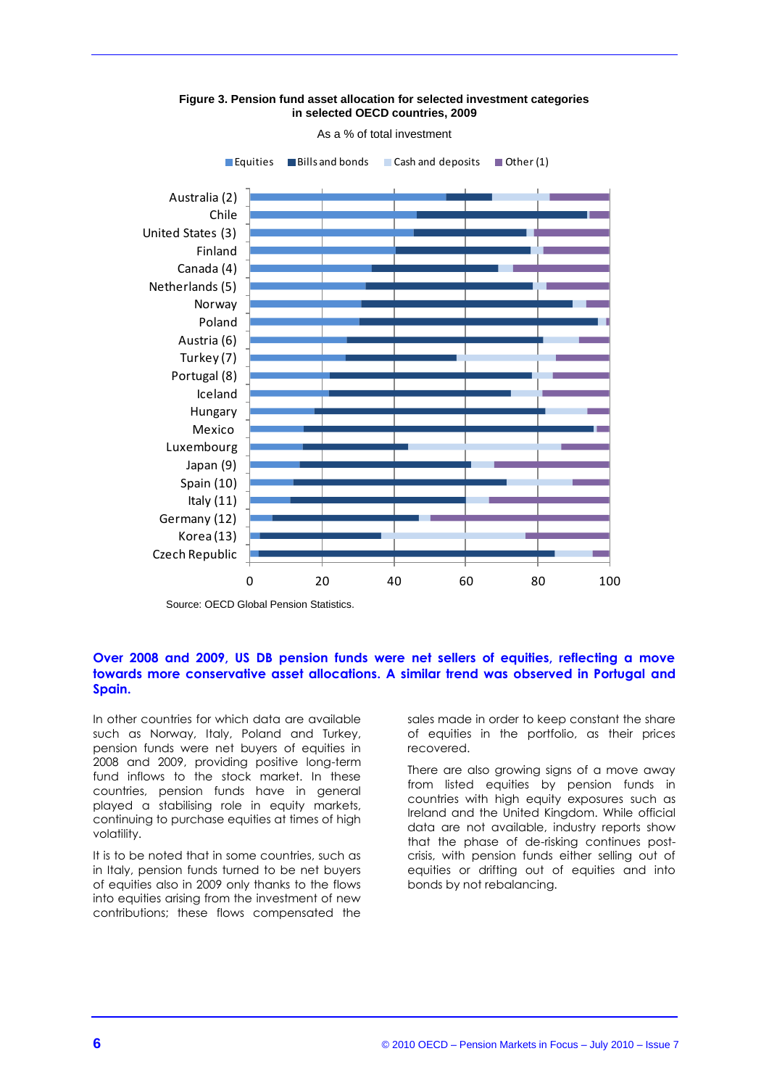

**Figure 3. Pension fund asset allocation for selected investment categories in selected OECD countries, 2009**

As a % of total investment

Source: OECD Global Pension Statistics.

#### **Over 2008 and 2009, US DB pension funds were net sellers of equities, reflecting a move towards more conservative asset allocations. A similar trend was observed in Portugal and Spain.**

In other countries for which data are available such as Norway, Italy, Poland and Turkey, pension funds were net buyers of equities in 2008 and 2009, providing positive long-term fund inflows to the stock market. In these countries, pension funds have in general played a stabilising role in equity markets, continuing to purchase equities at times of high volatility.

It is to be noted that in some countries, such as in Italy, pension funds turned to be net buyers of equities also in 2009 only thanks to the flows into equities arising from the investment of new contributions; these flows compensated the

sales made in order to keep constant the share of equities in the portfolio, as their prices recovered.

There are also growing signs of a move away from listed equities by pension funds in countries with high equity exposures such as Ireland and the United Kingdom. While official data are not available, industry reports show that the phase of de-risking continues postcrisis, with pension funds either selling out of equities or drifting out of equities and into bonds by not rebalancing.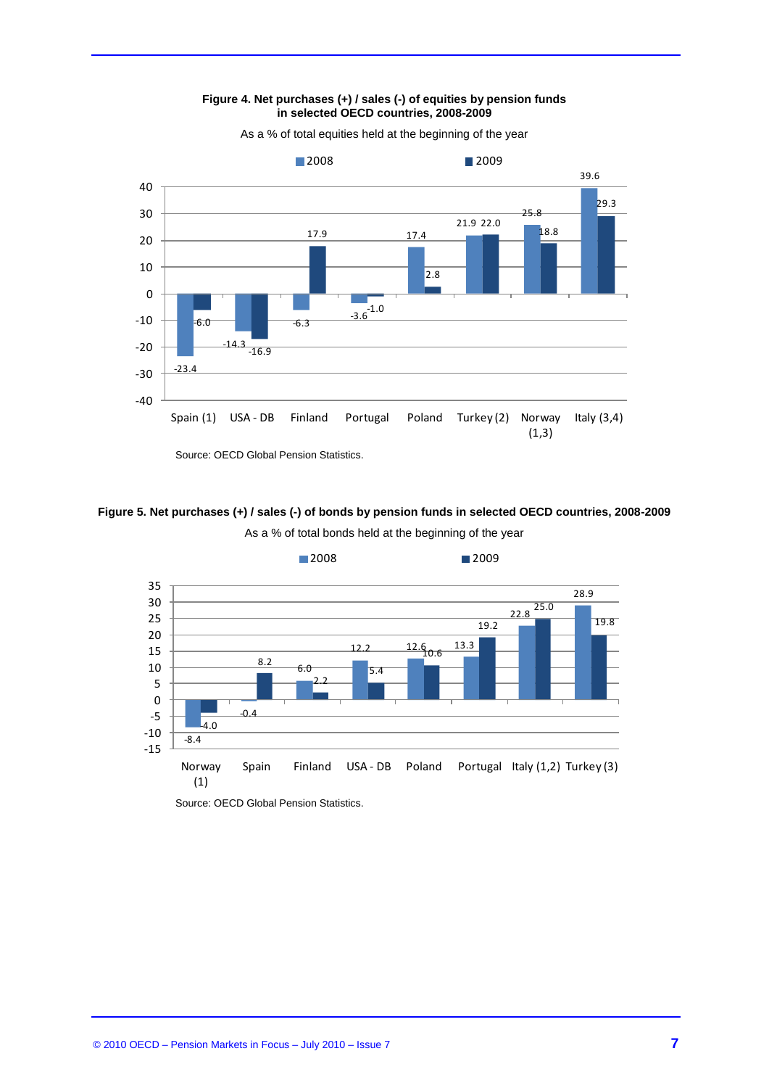

**Figure 4. Net purchases (+) / sales (-) of equities by pension funds in selected OECD countries, 2008-2009** 

#### **Figure 5. Net purchases (+) / sales (-) of bonds by pension funds in selected OECD countries, 2008-2009**



As a % of total bonds held at the beginning of the year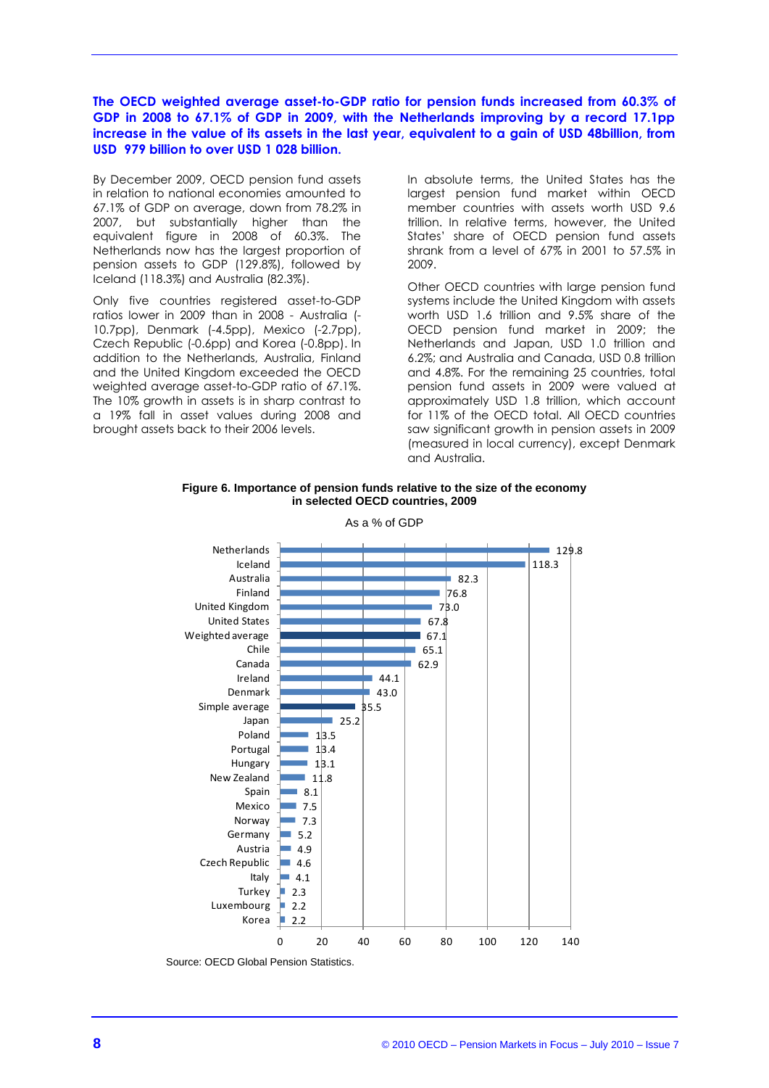#### **The OECD weighted average asset-to-GDP ratio for pension funds increased from 60.3% of GDP in 2008 to 67.1% of GDP in 2009, with the Netherlands improving by a record 17.1pp increase in the value of its assets in the last year, equivalent to a gain of USD 48billion, from USD 979 billion to over USD 1 028 billion.**

By December 2009, OECD pension fund assets in relation to national economies amounted to 67.1% of GDP on average, down from 78.2% in 2007, but substantially higher than the equivalent figure in 2008 of 60.3%. The Netherlands now has the largest proportion of pension assets to GDP (129.8%), followed by Iceland (118.3%) and Australia (82.3%).

Only five countries registered asset-to-GDP ratios lower in 2009 than in 2008 - Australia (- 10.7pp), Denmark (-4.5pp), Mexico (-2.7pp), Czech Republic (-0.6pp) and Korea (-0.8pp). In addition to the Netherlands, Australia, Finland and the United Kingdom exceeded the OECD weighted average asset-to-GDP ratio of 67.1%. The 10% growth in assets is in sharp contrast to a 19% fall in asset values during 2008 and brought assets back to their 2006 levels.

In absolute terms, the United States has the largest pension fund market within OECD member countries with assets worth USD 9.6 trillion. In relative terms, however, the United States' share of OECD pension fund assets shrank from a level of 67% in 2001 to 57.5% in 2009.

Other OECD countries with large pension fund systems include the United Kingdom with assets worth USD 1.6 trillion and 9.5% share of the OECD pension fund market in 2009; the Netherlands and Japan, USD 1.0 trillion and 6.2%; and Australia and Canada, USD 0.8 trillion and 4.8%. For the remaining 25 countries, total pension fund assets in 2009 were valued at approximately USD 1.8 trillion, which account for 11% of the OECD total. All OECD countries saw significant growth in pension assets in 2009 (measured in local currency), except Denmark and Australia.

#### **Figure 6. Importance of pension funds relative to the size of the economy in selected OECD countries, 2009**

As a % of GDP



Source: OECD Global Pension Statistics.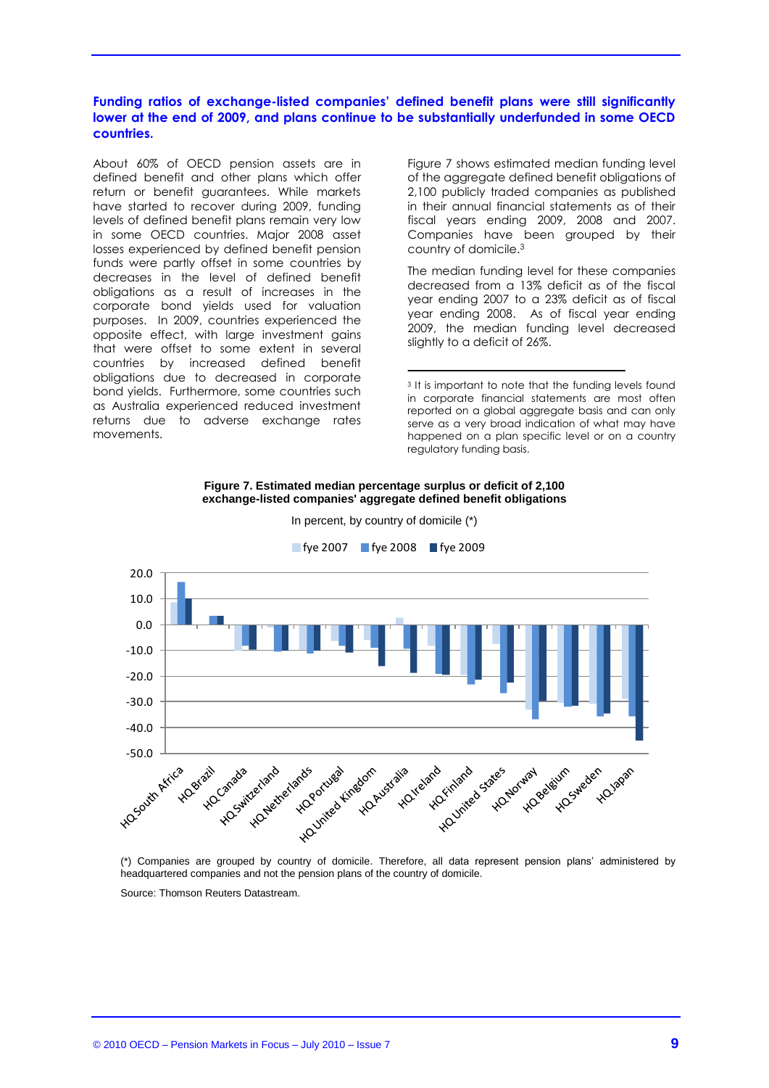#### **Funding ratios of exchange-listed companies' defined benefit plans were still significantly lower at the end of 2009, and plans continue to be substantially underfunded in some OECD countries.**

About 60% of OECD pension assets are in defined benefit and other plans which offer return or benefit guarantees. While markets have started to recover during 2009, funding levels of defined benefit plans remain very low in some OECD countries. Major 2008 asset losses experienced by defined benefit pension funds were partly offset in some countries by decreases in the level of defined benefit obligations as a result of increases in the corporate bond yields used for valuation purposes. In 2009, countries experienced the opposite effect, with large investment gains that were offset to some extent in several countries by increased defined benefit obligations due to decreased in corporate bond yields. Furthermore, some countries such as Australia experienced reduced investment returns due to adverse exchange rates movements.

Figure 7 shows estimated median funding level of the aggregate defined benefit obligations of 2,100 publicly traded companies as published in their annual financial statements as of their fiscal years ending 2009, 2008 and 2007. Companies have been grouped by their country of domicile.<sup>3</sup>

The median funding level for these companies decreased from a 13% deficit as of the fiscal year ending 2007 to a 23% deficit as of fiscal year ending 2008. As of fiscal year ending 2009, the median funding level decreased slightly to a deficit of 26%.

#### **Figure 7. Estimated median percentage surplus or deficit of 2,100 exchange-listed companies' aggregate defined benefit obligations**



In percent, by country of domicile (\*)

(\*) Companies are grouped by country of domicile. Therefore, all data represent pension plans' administered by headquartered companies and not the pension plans of the country of domicile.

Source: Thomson Reuters Datastream.

<sup>&</sup>lt;sup>3</sup> It is important to note that the funding levels found in corporate financial statements are most often reported on a global aggregate basis and can only serve as a very broad indication of what may have happened on a plan specific level or on a country regulatory funding basis.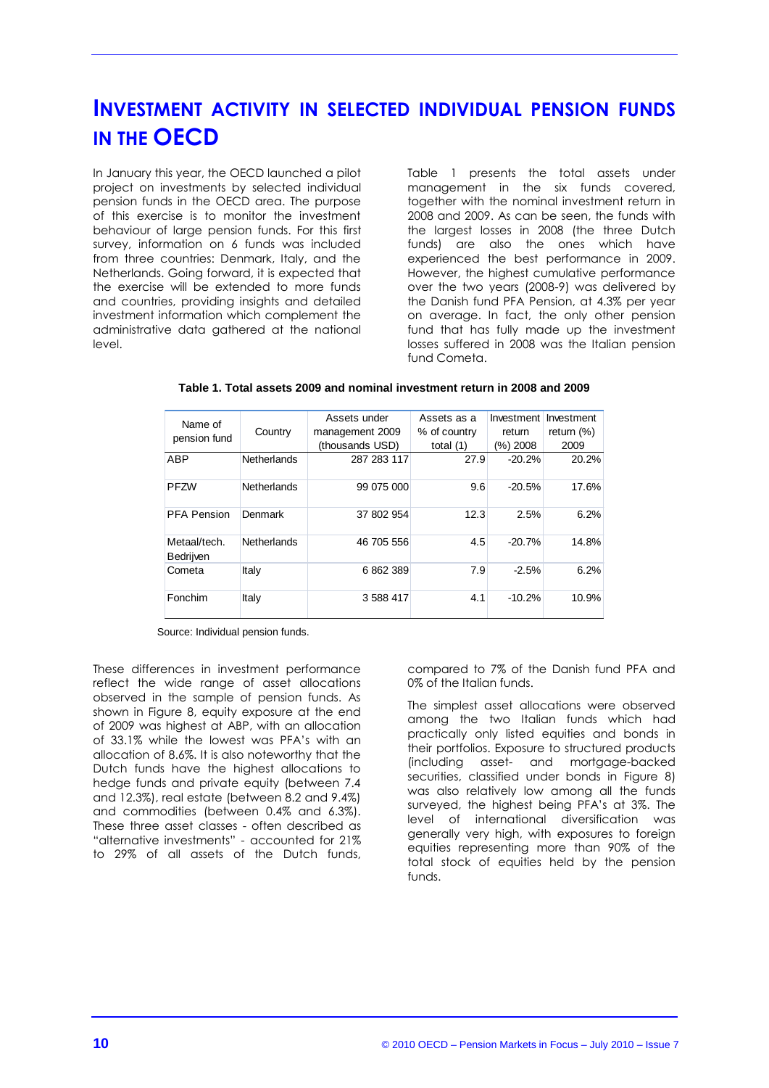## **INVESTMENT ACTIVITY IN SELECTED INDIVIDUAL PENSION FUNDS IN THE OECD**

In January this year, the OECD launched a pilot project on investments by selected individual pension funds in the OECD area. The purpose of this exercise is to monitor the investment behaviour of large pension funds. For this first survey, information on 6 funds was included from three countries: Denmark, Italy, and the Netherlands. Going forward, it is expected that the exercise will be extended to more funds and countries, providing insights and detailed investment information which complement the administrative data gathered at the national level.

Table 1 presents the total assets under management in the six funds covered, together with the nominal investment return in 2008 and 2009. As can be seen, the funds with the largest losses in 2008 (the three Dutch funds) are also the ones which have experienced the best performance in 2009. However, the highest cumulative performance over the two years (2008-9) was delivered by the Danish fund PFA Pension, at 4.3% per year on average. In fact, the only other pension fund that has fully made up the investment losses suffered in 2008 was the Italian pension fund Cometa.

|  | Table 1. Total assets 2009 and nominal investment return in 2008 and 2009 |
|--|---------------------------------------------------------------------------|
|--|---------------------------------------------------------------------------|

| Name of                   |                    | Assets under    | Assets as a  | Investment | Investment    |
|---------------------------|--------------------|-----------------|--------------|------------|---------------|
| pension fund              | Country            | management 2009 | % of country | return     | return $(\%)$ |
|                           |                    | (thousands USD) | total $(1)$  | (%) 2008   | 2009          |
| ABP                       | <b>Netherlands</b> | 287 283 117     | 27.9         | $-20.2%$   | 20.2%         |
| <b>PFZW</b>               | Netherlands        | 99 075 000      | 9.6          | $-20.5%$   | 17.6%         |
| <b>PFA Pension</b>        | Denmark            | 37 802 954      | 12.3         | 2.5%       | 6.2%          |
| Metaal/tech.<br>Bedrijven | Netherlands        | 46 705 556      | 4.5          | $-20.7%$   | 14.8%         |
| Cometa                    | Italy              | 6 862 389       | 7.9          | $-2.5%$    | 6.2%          |
| Fonchim                   | Italy              | 3 588 417       | 4.1          | $-10.2%$   | 10.9%         |

Source: Individual pension funds.

These differences in investment performance reflect the wide range of asset allocations observed in the sample of pension funds. As shown in Figure 8, equity exposure at the end of 2009 was highest at ABP, with an allocation of 33.1% while the lowest was PFA's with an allocation of 8.6%. It is also noteworthy that the Dutch funds have the highest allocations to hedge funds and private equity (between 7.4 and 12.3%), real estate (between 8.2 and 9.4%) and commodities (between 0.4% and 6.3%). These three asset classes - often described as "alternative investments" - accounted for 21% to 29% of all assets of the Dutch funds,

compared to 7% of the Danish fund PFA and 0% of the Italian funds.

The simplest asset allocations were observed among the two Italian funds which had practically only listed equities and bonds in their portfolios. Exposure to structured products (including asset- and mortgage-backed securities, classified under bonds in Figure 8) was also relatively low among all the funds surveyed, the highest being PFA's at 3%. The level of international diversification was generally very high, with exposures to foreign equities representing more than 90% of the total stock of equities held by the pension funds.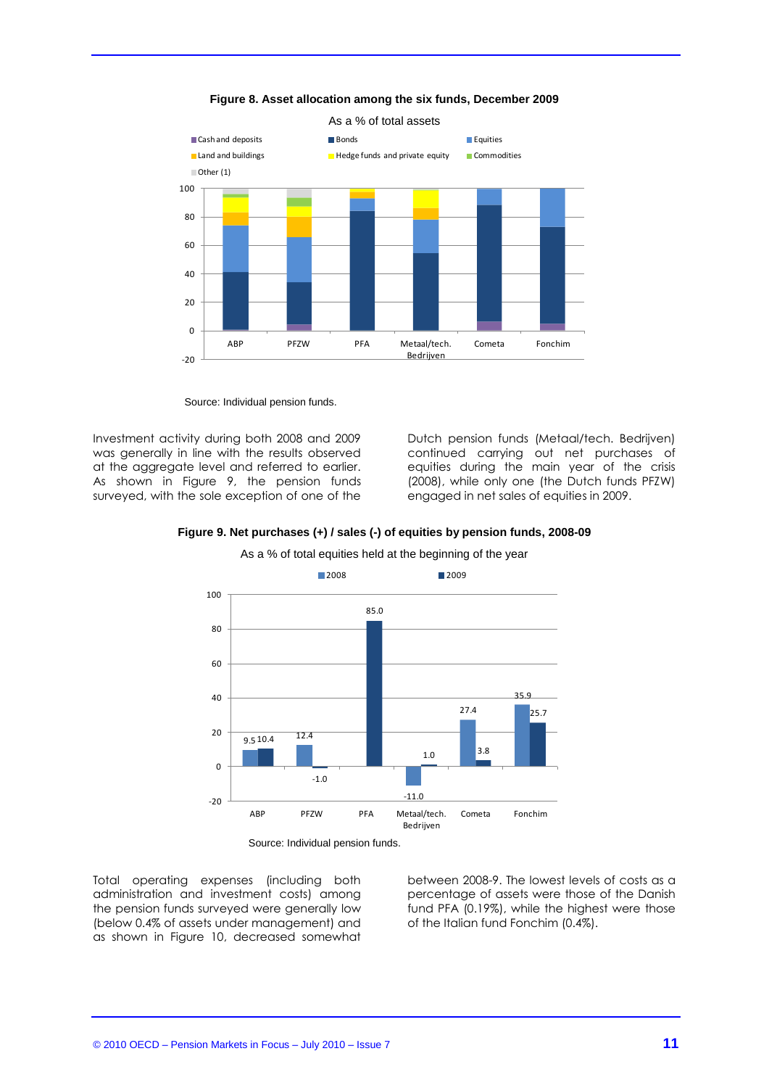

**Figure 8. Asset allocation among the six funds, December 2009**

Source: Individual pension funds.

Investment activity during both 2008 and 2009 was generally in line with the results observed at the aggregate level and referred to earlier. As shown in Figure 9, the pension funds surveyed, with the sole exception of one of the

Dutch pension funds (Metaal/tech. Bedrijven) continued carrying out net purchases of equities during the main year of the crisis (2008), while only one (the Dutch funds PFZW) engaged in net sales of equities in 2009.

![](_page_10_Figure_5.jpeg)

![](_page_10_Figure_6.jpeg)

As a % of total equities held at the beginning of the year

Source: Individual pension funds.

Total operating expenses (including both administration and investment costs) among the pension funds surveyed were generally low (below 0.4% of assets under management) and as shown in Figure 10, decreased somewhat between 2008-9. The lowest levels of costs as a percentage of assets were those of the Danish fund PFA (0.19%), while the highest were those of the Italian fund Fonchim (0.4%).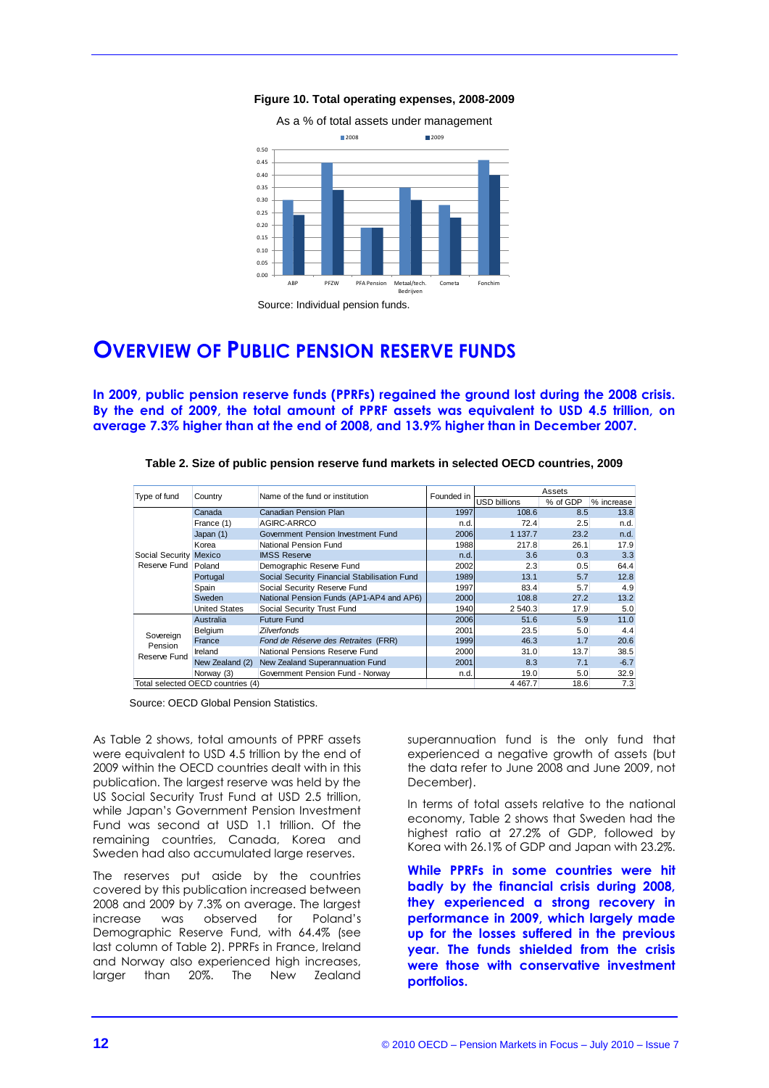**Figure 10. Total operating expenses, 2008-2009**

![](_page_11_Figure_1.jpeg)

## **OVERVIEW OF PUBLIC PENSION RESERVE FUNDS**

**In 2009, public pension reserve funds (PPRFs) regained the ground lost during the 2008 crisis. By the end of 2009, the total amount of PPRF assets was equivalent to USD 4.5 trillion, on average 7.3% higher than at the end of 2008, and 13.9% higher than in December 2007.**

| Type of fund<br>Country |                                   | Name of the fund or institution              | Founded in          | Assets    |            |        |
|-------------------------|-----------------------------------|----------------------------------------------|---------------------|-----------|------------|--------|
|                         |                                   |                                              | <b>USD billions</b> | % of GDP  | % increase |        |
|                         | Canada                            | Canadian Pension Plan                        | 1997                | 108.6     | 8.5        | 13.8   |
|                         | France (1)                        | AGIRC-ARRCO                                  | n.d.                | 72.4      | 2.5        | n.d.   |
|                         | Japan (1)                         | Government Pension Investment Fund           | 2006                | 1 137.7   | 23.2       | n.d.   |
|                         | Korea                             | National Pension Fund                        | 1988                | 217.8     | 26.1       | 17.9   |
| Social Security Mexico  |                                   | <b>IMSS Reserve</b>                          | n.d.                | 3.6       | 0.3        | 3.3    |
| Reserve Fund<br>Poland  |                                   | Demographic Reserve Fund                     | 2002                | 2.3       | 0.5        | 64.4   |
|                         | Portugal                          | Social Security Financial Stabilisation Fund | 1989                | 13.1      | 5.7        | 12.8   |
|                         | Spain                             | Social Security Reserve Fund                 | 1997                | 83.4      | 5.7        | 4.9    |
|                         | Sweden                            | National Pension Funds (AP1-AP4 and AP6)     | 2000                | 108.8     | 27.2       | 13.2   |
|                         | <b>United States</b>              | Social Security Trust Fund                   | 1940                | 2 540.3   | 17.9       | 5.0    |
|                         | Australia                         | <b>Future Fund</b>                           | 2006                | 51.6      | 5.9        | 11.0   |
| Sovereign               | Belgium                           | <b>Zilverfonds</b>                           | 2001                | 23.5      | 5.0        | 4.4    |
| Pension                 | France                            | Fond de Réserve des Retraites (FRR)          | 1999                | 46.3      | 1.7        | 20.6   |
| Reserve Fund            | Ireland                           | National Pensions Reserve Fund               | 2000                | 31.0      | 13.7       | 38.5   |
|                         | New Zealand (2)                   | New Zealand Superannuation Fund              | 2001                | 8.3       | 7.1        | $-6.7$ |
|                         | Norway (3)                        | Government Pension Fund - Norway             | n.d.                | 19.0      | 5.0        | 32.9   |
|                         | Total selected OECD countries (4) |                                              |                     | 4 4 6 7.7 | 18.6       | 7.3    |

**Table 2. Size of public pension reserve fund markets in selected OECD countries, 2009**

Source: OECD Global Pension Statistics.

As Table 2 shows, total amounts of PPRF assets were equivalent to USD 4.5 trillion by the end of 2009 within the OECD countries dealt with in this publication. The largest reserve was held by the US Social Security Trust Fund at USD 2.5 trillion, while Japan's Government Pension Investment Fund was second at USD 1.1 trillion. Of the remaining countries, Canada, Korea and Sweden had also accumulated large reserves.

The reserves put aside by the countries covered by this publication increased between 2008 and 2009 by 7.3% on average. The largest increase was observed for Poland's Demographic Reserve Fund, with 64.4% (see last column of Table 2). PPRFs in France, Ireland and Norway also experienced high increases, larger than 20%. The New Zealand

superannuation fund is the only fund that experienced a negative growth of assets (but the data refer to June 2008 and June 2009, not December).

In terms of total assets relative to the national economy, Table 2 shows that Sweden had the highest ratio at 27.2% of GDP, followed by Korea with 26.1% of GDP and Japan with 23.2%.

**While PPRFs in some countries were hit badly by the financial crisis during 2008, they experienced a strong recovery in performance in 2009, which largely made up for the losses suffered in the previous year. The funds shielded from the crisis were those with conservative investment portfolios.**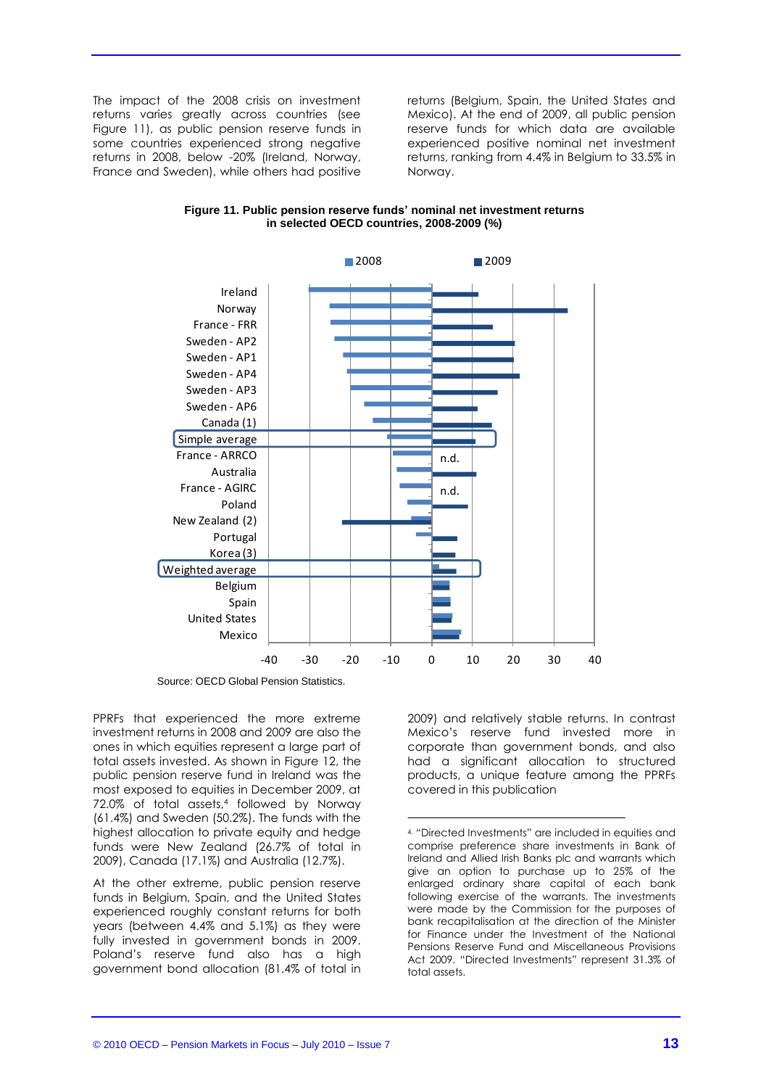The impact of the 2008 crisis on investment returns varies greatly across countries (see Figure 11), as public pension reserve funds in some countries experienced strong negative returns in 2008, below -20% (Ireland, Norway, France and Sweden), while others had positive

returns (Belgium, Spain, the United States and Mexico). At the end of 2009, all public pension reserve funds for which data are available experienced positive nominal net investment returns, ranking from 4.4% in Belgium to 33.5% in Norway.

![](_page_12_Figure_2.jpeg)

**Figure 11. Public pension reserve funds' nominal net investment returns in selected OECD countries, 2008-2009 (%)**

Source: OECD Global Pension Statistics.

PPRFs that experienced the more extreme investment returns in 2008 and 2009 are also the ones in which equities represent a large part of total assets invested. As shown in Figure 12, the public pension reserve fund in Ireland was the most exposed to equities in December 2009, at 72.0% of total assets,<sup>4</sup> followed by Norway (61.4%) and Sweden (50.2%). The funds with the highest allocation to private equity and hedge funds were New Zealand (26.7% of total in 2009), Canada (17.1%) and Australia (12.7%).

At the other extreme, public pension reserve funds in Belgium, Spain, and the United States experienced roughly constant returns for both years (between 4.4% and 5.1%) as they were fully invested in government bonds in 2009. Poland's reserve fund also has a high government bond allocation (81.4% of total in 2009) and relatively stable returns. In contrast Mexico's reserve fund invested more in corporate than government bonds, and also had a significant allocation to structured products, a unique feature among the PPRFs covered in this publication

<sup>4.</sup> "Directed Investments" are included in equities and comprise preference share investments in Bank of Ireland and Allied Irish Banks plc and warrants which give an option to purchase up to 25% of the enlarged ordinary share capital of each bank following exercise of the warrants. The investments were made by the Commission for the purposes of bank recapitalisation at the direction of the Minister for Finance under the Investment of the National Pensions Reserve Fund and Miscellaneous Provisions Act 2009. "Directed Investments" represent 31.3% of total assets.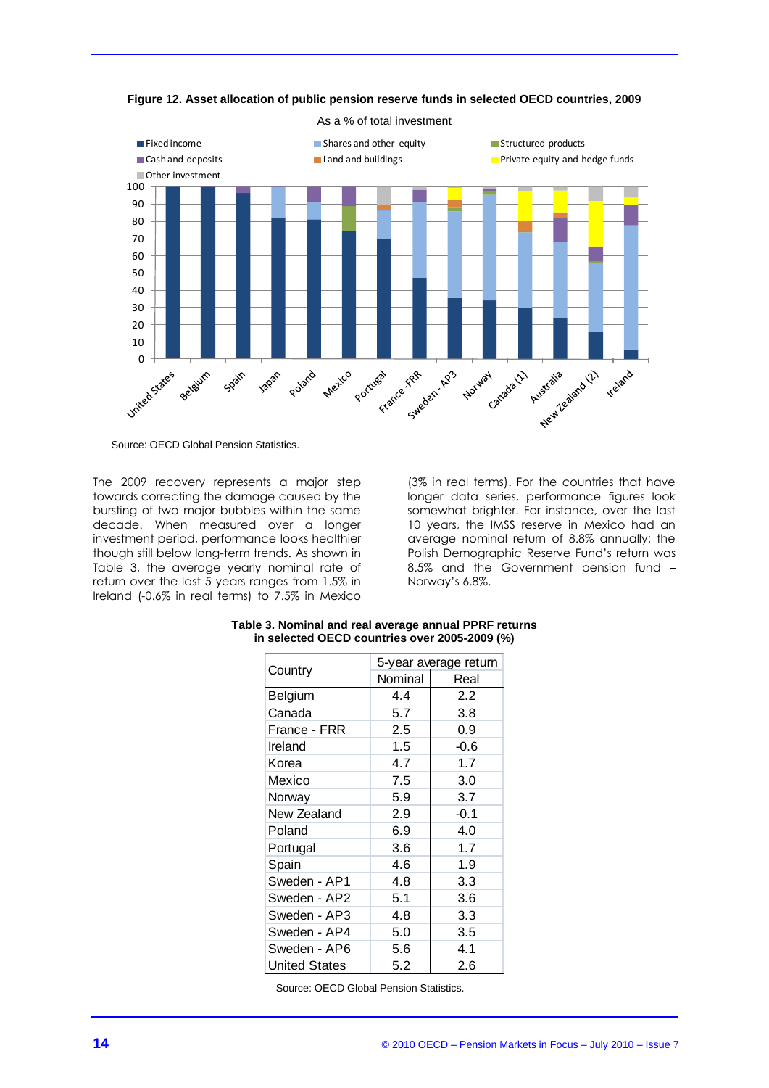![](_page_13_Figure_0.jpeg)

**Figure 12. Asset allocation of public pension reserve funds in selected OECD countries, 2009**

Source: OECD Global Pension Statistics.

The 2009 recovery represents a major step towards correcting the damage caused by the bursting of two major bubbles within the same decade. When measured over a longer investment period, performance looks healthier though still below long-term trends. As shown in Table 3, the average yearly nominal rate of return over the last 5 years ranges from 1.5% in Ireland (-0.6% in real terms) to 7.5% in Mexico

(3% in real terms). For the countries that have longer data series, performance figures look somewhat brighter. For instance, over the last 10 years, the IMSS reserve in Mexico had an average nominal return of 8.8% annually; the Polish Demographic Reserve Fund's return was 8.5% and the Government pension fund – Norway's 6.8%.

|                      | 5-year average return |        |  |  |
|----------------------|-----------------------|--------|--|--|
| Country              | Nominal               | Real   |  |  |
| <b>Belgium</b>       | 4.4                   | 2.2    |  |  |
| Canada               | 5.7                   | 3.8    |  |  |
| France - FRR         | 2.5                   | 0.9    |  |  |
| Ireland              | 1.5                   | $-0.6$ |  |  |
| Korea                | 4.7                   | 1.7    |  |  |
| Mexico               | 7.5                   | 3.0    |  |  |
| Norway               | 5.9                   | 3.7    |  |  |
| New Zealand          | 2.9                   | $-0.1$ |  |  |
| Poland               | 6.9                   | 4.0    |  |  |
| Portugal             | 3.6                   | 1.7    |  |  |
| Spain                | 4.6                   | 1.9    |  |  |
| Sweden - AP1         | 4.8                   | 3.3    |  |  |
| Sweden - AP2         | 5.1                   | 3.6    |  |  |
| Sweden - AP3         | 4.8                   | 3.3    |  |  |
| Sweden - AP4         | 5.0                   | 3.5    |  |  |
| Sweden - AP6         | 5.6                   | 4.1    |  |  |
| <b>United States</b> | 5.2                   | 2.6    |  |  |

#### **Table 3. Nominal and real average annual PPRF returns in selected OECD countries over 2005-2009 (%)**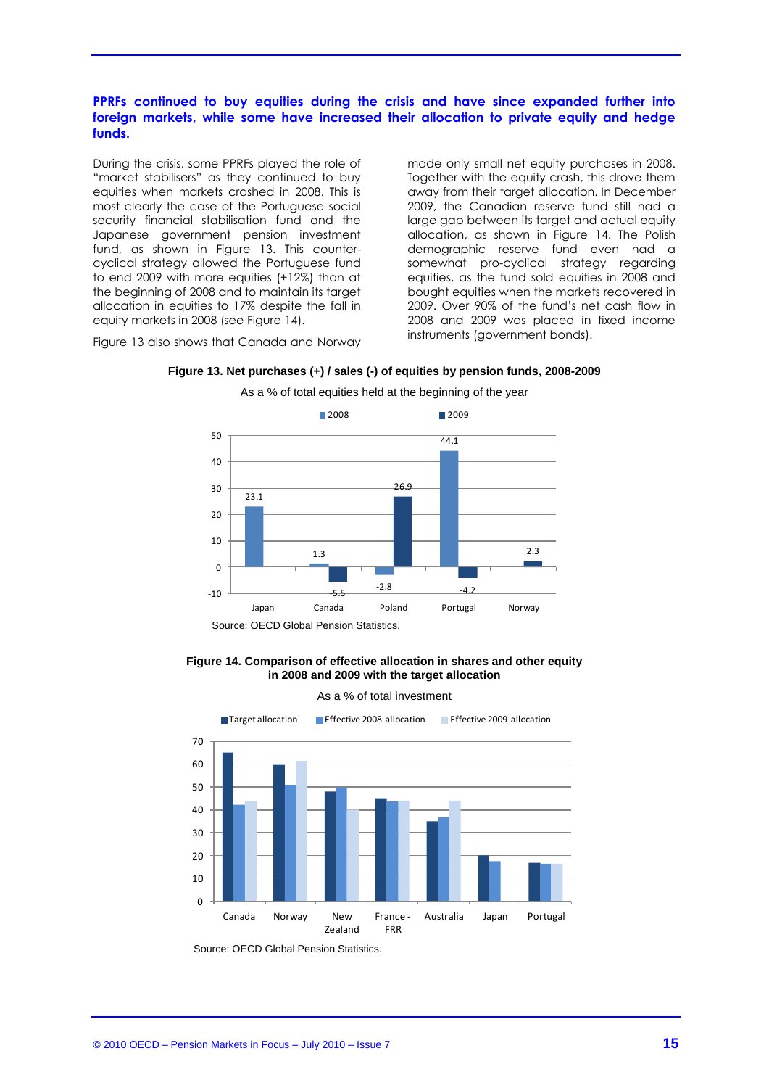#### PPRFs continued to buy equities during the crisis and have since expanded further into **foreign markets, while some have increased their allocation to private equity and hedge funds.**

During the crisis, some PPRFs played the role of "market stabilisers" as they continued to buy equities when markets crashed in 2008. This is most clearly the case of the Portuguese social security financial stabilisation fund and the Japanese government pension investment fund, as shown in Figure 13. This countercyclical strategy allowed the Portuguese fund to end 2009 with more equities (+12%) than at the beginning of 2008 and to maintain its target allocation in equities to 17% despite the fall in equity markets in 2008 (see Figure 14).

made only small net equity purchases in 2008. Together with the equity crash, this drove them away from their target allocation. In December 2009, the Canadian reserve fund still had a large gap between its target and actual equity allocation, as shown in Figure 14. The Polish demographic reserve fund even had a somewhat pro-cyclical strategy regarding equities, as the fund sold equities in 2008 and bought equities when the markets recovered in 2009. Over 90% of the fund's net cash flow in 2008 and 2009 was placed in fixed income instruments (government bonds).

Figure 13 also shows that Canada and Norway

![](_page_14_Figure_4.jpeg)

**Figure 13. Net purchases (+) / sales (-) of equities by pension funds, 2008-2009** As a % of total equities held at the beginning of the year

**Figure 14. Comparison of effective allocation in shares and other equity in 2008 and 2009 with the target allocation**

![](_page_14_Figure_8.jpeg)

![](_page_14_Figure_9.jpeg)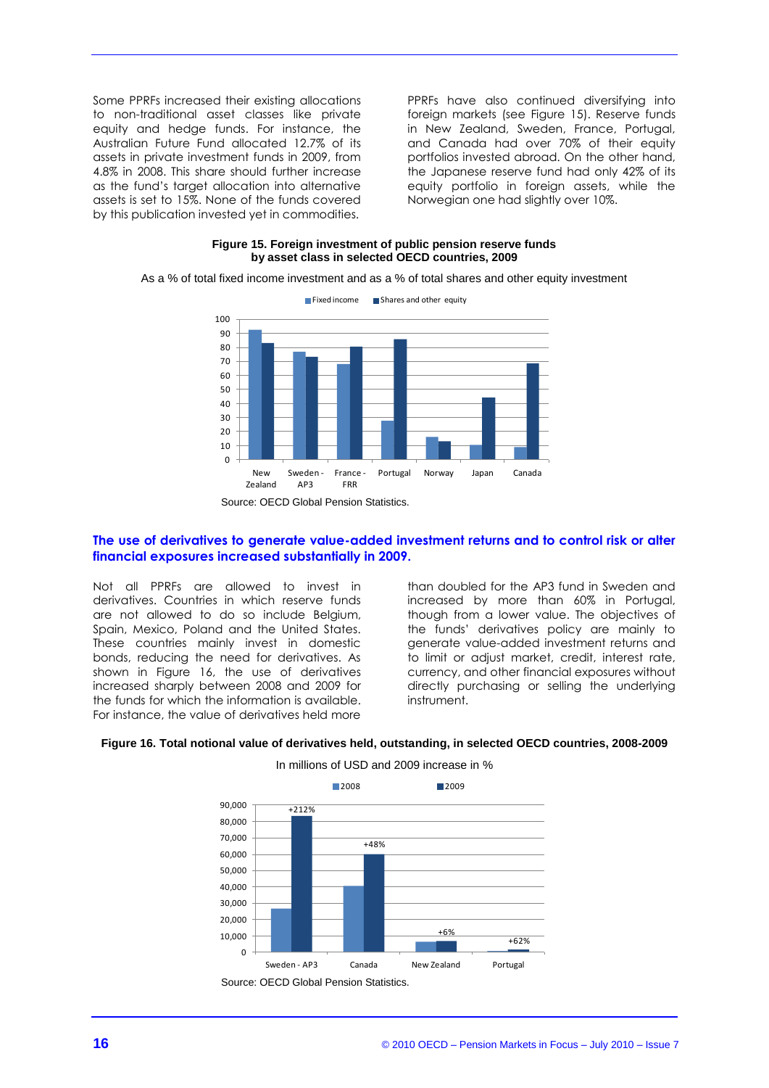Some PPRFs increased their existing allocations to non-traditional asset classes like private equity and hedge funds. For instance, the Australian Future Fund allocated 12.7% of its assets in private investment funds in 2009, from 4.8% in 2008. This share should further increase as the fund's target allocation into alternative assets is set to 15%. None of the funds covered by this publication invested yet in commodities.

PPRFs have also continued diversifying into foreign markets (see Figure 15). Reserve funds in New Zealand, Sweden, France, Portugal, and Canada had over 70% of their equity portfolios invested abroad. On the other hand, the Japanese reserve fund had only 42% of its equity portfolio in foreign assets, while the Norwegian one had slightly over 10%.

#### **Figure 15. Foreign investment of public pension reserve funds by asset class in selected OECD countries, 2009**

As a % of total fixed income investment and as a % of total shares and other equity investment

![](_page_15_Figure_4.jpeg)

Source: OECD Global Pension Statistics.

#### **The use of derivatives to generate value-added investment returns and to control risk or alter financial exposures increased substantially in 2009.**

Not all PPRFs are allowed to invest in derivatives. Countries in which reserve funds are not allowed to do so include Belgium, Spain, Mexico, Poland and the United States. These countries mainly invest in domestic bonds, reducing the need for derivatives. As shown in Figure 16, the use of derivatives increased sharply between 2008 and 2009 for the funds for which the information is available. For instance, the value of derivatives held more

than doubled for the AP3 fund in Sweden and increased by more than 60% in Portugal, though from a lower value. The objectives of the funds' derivatives policy are mainly to generate value-added investment returns and to limit or adjust market, credit, interest rate, currency, and other financial exposures without directly purchasing or selling the underlying instrument.

![](_page_15_Figure_9.jpeg)

**Figure 16. Total notional value of derivatives held, outstanding, in selected OECD countries, 2008-2009** In millions of USD and 2009 increase in %

Source: OECD Global Pension Statistics.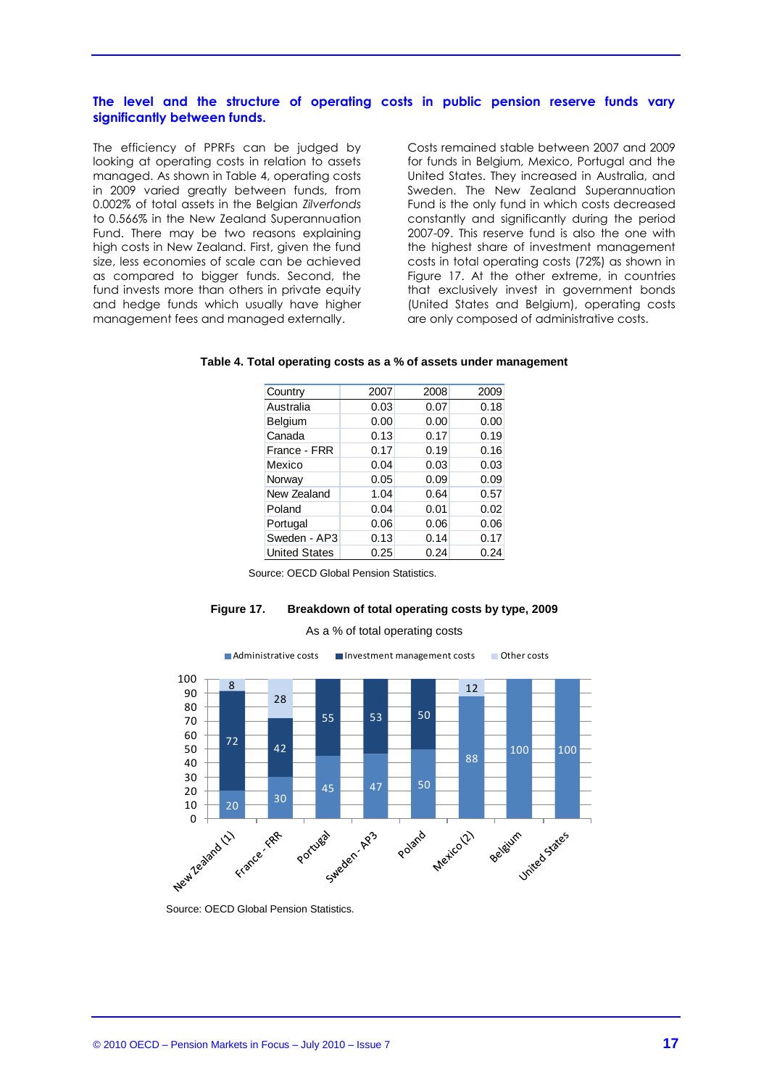#### **The level and the structure of operating costs in public pension reserve funds vary significantly between funds.**

The efficiency of PPRFs can be judged by looking at operating costs in relation to assets managed. As shown in Table 4, operating costs in 2009 varied greatly between funds, from 0.002% of total assets in the Belgian *Zilverfonds* to 0.566% in the New Zealand Superannuation Fund. There may be two reasons explaining high costs in New Zealand. First, given the fund size, less economies of scale can be achieved as compared to bigger funds. Second, the fund invests more than others in private equity and hedge funds which usually have higher management fees and managed externally.

Costs remained stable between 2007 and 2009 for funds in Belgium, Mexico, Portugal and the United States. They increased in Australia, and Sweden. The New Zealand Superannuation Fund is the only fund in which costs decreased constantly and significantly during the period 2007-09. This reserve fund is also the one with the highest share of investment management costs in total operating costs (72%) as shown in Figure 17. At the other extreme, in countries that exclusively invest in government bonds (United States and Belgium), operating costs are only composed of administrative costs.

| Country              | 2007 | 2008 | 2009 |
|----------------------|------|------|------|
| Australia            | 0.03 | 0.07 | 0.18 |
| Belgium              | 0.00 | 0.00 | 0.00 |
| Canada               | 0.13 | 0.17 | 0.19 |
| France - FRR         | 0.17 | 0.19 | 0.16 |
| Mexico               | 0.04 | 0.03 | 0.03 |
| Norway               | 0.05 | 0.09 | 0.09 |
| New Zealand          | 1.04 | 0.64 | 0.57 |
| Poland               | 0.04 | 0.01 | 0.02 |
| Portugal             | 0.06 | 0.06 | 0.06 |
| Sweden - AP3         | 0.13 | 0.14 | 0.17 |
| <b>United States</b> | 0.25 | 0.24 | 0.24 |

#### **Table 4. Total operating costs as a % of assets under management**

Source: OECD Global Pension Statistics.

#### **Figure 17. Breakdown of total operating costs by type, 2009**

As a % of total operating costs

![](_page_16_Figure_9.jpeg)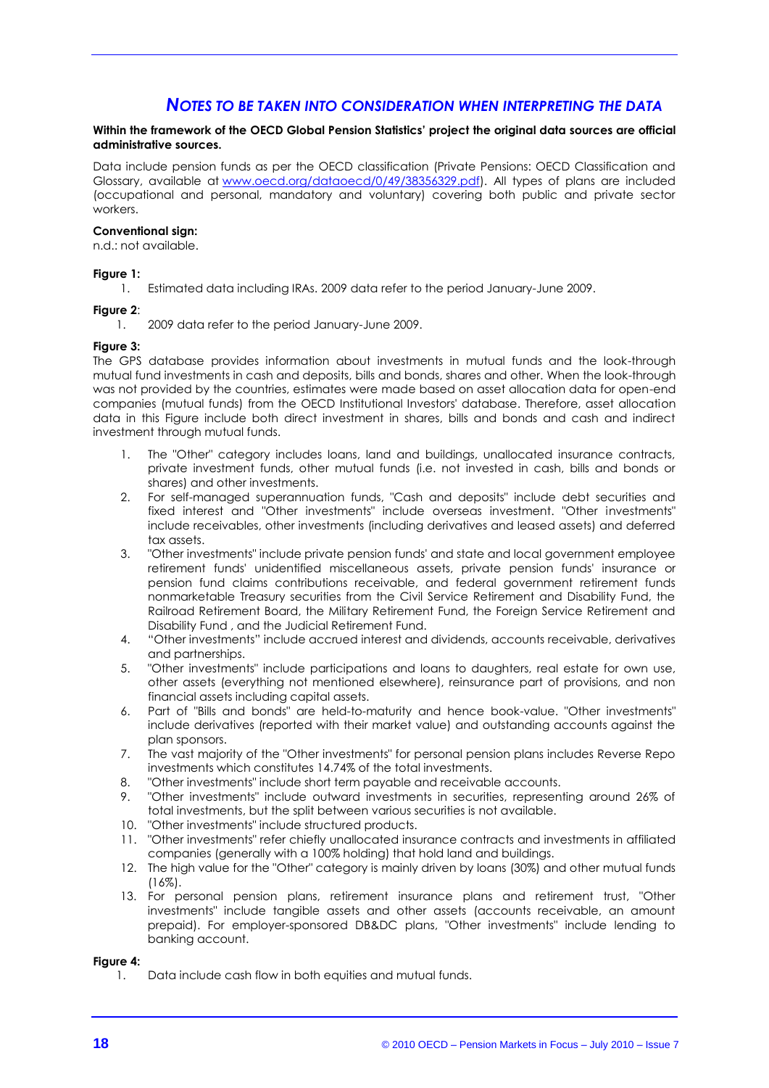### *NOTES TO BE TAKEN INTO CONSIDERATION WHEN INTERPRETING THE DATA*

#### **Within the framework of the OECD Global Pension Statistics' project the original data sources are official administrative sources.**

Data include pension funds as per the OECD classification (Private Pensions: OECD Classification and Glossary, available at [www.oecd.org/dataoecd/0/49/38356329.pdf\)](http://www.oecd.org/dataoecd/0/49/38356329.pdf). All types of plans are included (occupational and personal, mandatory and voluntary) covering both public and private sector workers.

#### **Conventional sign:**

n.d.: not available.

#### **Figure 1:**

1. Estimated data including IRAs. 2009 data refer to the period January-June 2009.

#### **Figure 2**:

1. 2009 data refer to the period January-June 2009.

#### **Figure 3:**

The GPS database provides information about investments in mutual funds and the look-through mutual fund investments in cash and deposits, bills and bonds, shares and other. When the look-through was not provided by the countries, estimates were made based on asset allocation data for open-end companies (mutual funds) from the OECD Institutional Investors' database. Therefore, asset allocation data in this Figure include both direct investment in shares, bills and bonds and cash and indirect investment through mutual funds.

- 1. The "Other" category includes loans, land and buildings, unallocated insurance contracts, private investment funds, other mutual funds (i.e. not invested in cash, bills and bonds or shares) and other investments.
- 2. For self-managed superannuation funds, "Cash and deposits" include debt securities and fixed interest and "Other investments" include overseas investment. "Other investments" include receivables, other investments (including derivatives and leased assets) and deferred tax assets.
- 3. "Other investments" include private pension funds' and state and local government employee retirement funds' unidentified miscellaneous assets, private pension funds' insurance or pension fund claims contributions receivable, and federal government retirement funds nonmarketable Treasury securities from the Civil Service Retirement and Disability Fund, the Railroad Retirement Board, the Military Retirement Fund, the Foreign Service Retirement and Disability Fund , and the Judicial Retirement Fund.
- 4. "Other investments" include accrued interest and dividends, accounts receivable, derivatives and partnerships.
- 5. "Other investments" include participations and loans to daughters, real estate for own use, other assets (everything not mentioned elsewhere), reinsurance part of provisions, and non financial assets including capital assets.
- 6. Part of "Bills and bonds" are held-to-maturity and hence book-value. "Other investments" include derivatives (reported with their market value) and outstanding accounts against the plan sponsors.
- 7. The vast majority of the "Other investments" for personal pension plans includes Reverse Repo investments which constitutes 14.74% of the total investments.
- 8. "Other investments" include short term payable and receivable accounts.
- 9. "Other investments" include outward investments in securities, representing around 26% of total investments, but the split between various securities is not available.
- 10. "Other investments" include structured products.
- 11. "Other investments" refer chiefly unallocated insurance contracts and investments in affiliated companies (generally with a 100% holding) that hold land and buildings.
- 12. The high value for the "Other" category is mainly driven by loans (30%) and other mutual funds (16%).
- 13. For personal pension plans, retirement insurance plans and retirement trust, "Other investments" include tangible assets and other assets (accounts receivable, an amount prepaid). For employer-sponsored DB&DC plans, "Other investments" include lending to banking account.

#### **Figure 4:**

1. Data include cash flow in both equities and mutual funds.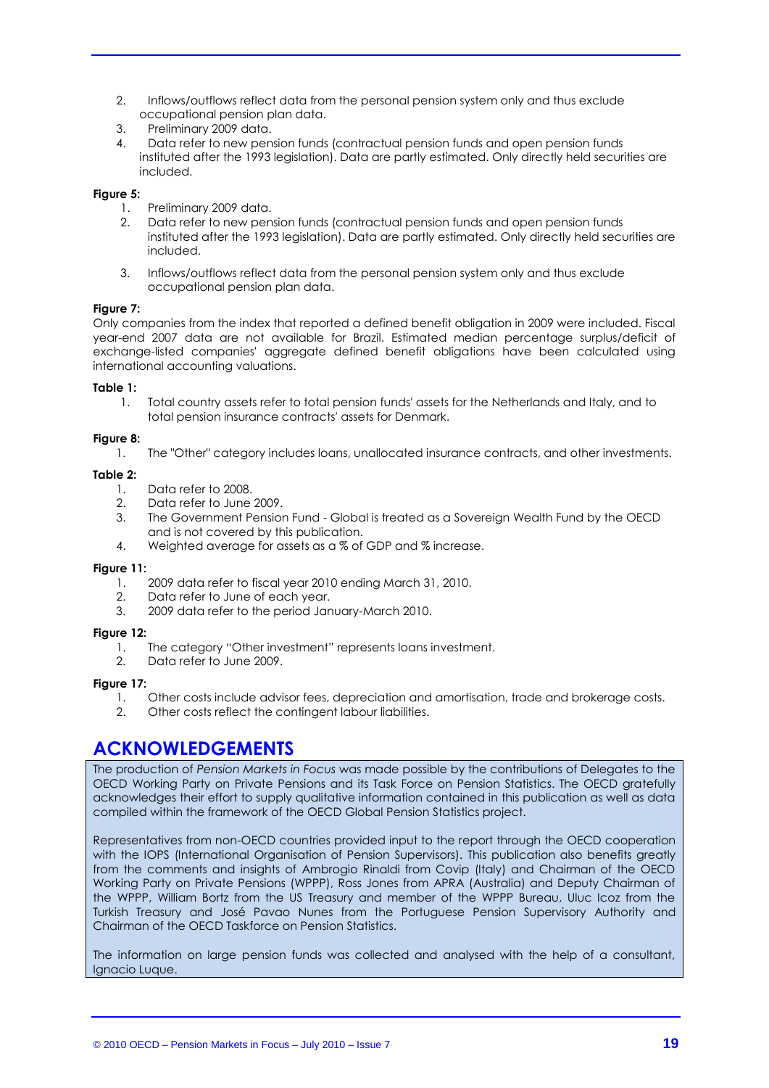- 2. Inflows/outflows reflect data from the personal pension system only and thus exclude occupational pension plan data.
- 3. Preliminary 2009 data.
- 4. Data refer to new pension funds (contractual pension funds and open pension funds instituted after the 1993 legislation). Data are partly estimated. Only directly held securities are included.

#### **Figure 5:**

- 1. Preliminary 2009 data.<br>2. Data refer to new pen
- 2. Data refer to new pension funds (contractual pension funds and open pension funds instituted after the 1993 legislation). Data are partly estimated. Only directly held securities are included.
- 3. Inflows/outflows reflect data from the personal pension system only and thus exclude occupational pension plan data.

#### **Figure 7:**

Only companies from the index that reported a defined benefit obligation in 2009 were included. Fiscal year-end 2007 data are not available for Brazil. Estimated median percentage surplus/deficit of exchange-listed companies' aggregate defined benefit obligations have been calculated using international accounting valuations.

#### **Table 1:**

1. Total country assets refer to total pension funds' assets for the Netherlands and Italy, and to total pension insurance contracts' assets for Denmark.

#### **Figure 8:**

1. The "Other" category includes loans, unallocated insurance contracts, and other investments.

#### **Table 2:**

- 1. Data refer to 2008.<br>2. Data refer to June
- Data refer to June 2009.
- 3. The Government Pension Fund Global is treated as a Sovereign Wealth Fund by the OECD and is not covered by this publication.
- 4. Weighted average for assets as a % of GDP and % increase.

#### **Figure 11:**

- 1. 2009 data refer to fiscal year 2010 ending March 31, 2010.
- 2. Data refer to June of each year.
- 3. 2009 data refer to the period January-March 2010.

#### **Figure 12:**

- 1. The category "Other investment" represents loans investment.
- 2. Data refer to June 2009.

#### **Figure 17:**

- 1. Other costs include advisor fees, depreciation and amortisation, trade and brokerage costs.
- 2. Other costs reflect the contingent labour liabilities.

## **ACKNOWLEDGEMENTS**

The production of *Pension Markets in Focus* was made possible by the contributions of Delegates to the OECD Working Party on Private Pensions and its Task Force on Pension Statistics. The OECD gratefully acknowledges their effort to supply qualitative information contained in this publication as well as data compiled within the framework of the OECD Global Pension Statistics project.

Representatives from non-OECD countries provided input to the report through the OECD cooperation with the IOPS (International Organisation of Pension Supervisors). This publication also benefits greatly from the comments and insights of Ambrogio Rinaldi from Covip (Italy) and Chairman of the OECD Working Party on Private Pensions (WPPP), Ross Jones from APRA (Australia) and Deputy Chairman of the WPPP, William Bortz from the US Treasury and member of the WPPP Bureau, Uluc Icoz from the Turkish Treasury and José Pavao Nunes from the Portuguese Pension Supervisory Authority and Chairman of the OECD Taskforce on Pension Statistics.

The information on large pension funds was collected and analysed with the help of a consultant, Ignacio Luque.